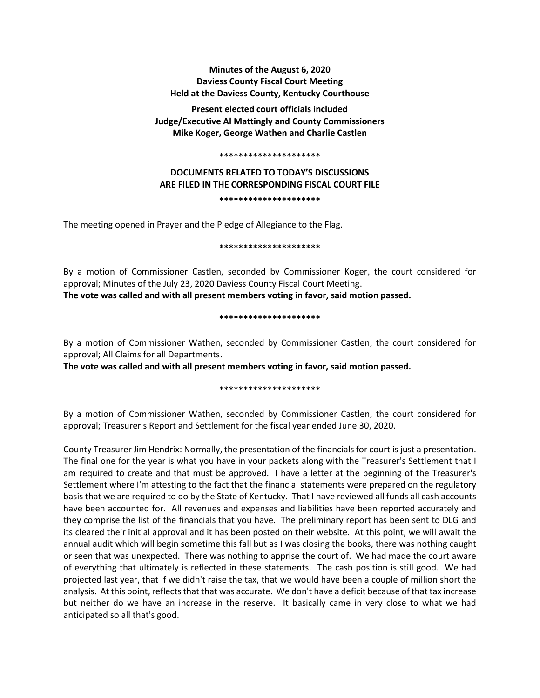## **Minutes of the August 6, 2020 Daviess County Fiscal Court Meeting Held at the Daviess County, Kentucky Courthouse**

**Present elected court officials included Judge/Executive Al Mattingly and County Commissioners Mike Koger, George Wathen and Charlie Castlen**

### **\*\*\*\*\*\*\*\*\*\*\*\*\*\*\*\*\*\*\*\*\***

# **DOCUMENTS RELATED TO TODAY'S DISCUSSIONS ARE FILED IN THE CORRESPONDING FISCAL COURT FILE**

**\*\*\*\*\*\*\*\*\*\*\*\*\*\*\*\*\*\*\*\*\***

The meeting opened in Prayer and the Pledge of Allegiance to the Flag.

### **\*\*\*\*\*\*\*\*\*\*\*\*\*\*\*\*\*\*\*\*\***

By a motion of Commissioner Castlen, seconded by Commissioner Koger, the court considered for approval; Minutes of the July 23, 2020 Daviess County Fiscal Court Meeting. **The vote was called and with all present members voting in favor, said motion passed.** 

### **\*\*\*\*\*\*\*\*\*\*\*\*\*\*\*\*\*\*\*\*\***

By a motion of Commissioner Wathen, seconded by Commissioner Castlen, the court considered for approval; All Claims for all Departments.

**The vote was called and with all present members voting in favor, said motion passed.** 

## **\*\*\*\*\*\*\*\*\*\*\*\*\*\*\*\*\*\*\*\*\***

By a motion of Commissioner Wathen, seconded by Commissioner Castlen, the court considered for approval; Treasurer's Report and Settlement for the fiscal year ended June 30, 2020.

County Treasurer Jim Hendrix: Normally, the presentation of the financials for court is just a presentation. The final one for the year is what you have in your packets along with the Treasurer's Settlement that I am required to create and that must be approved. I have a letter at the beginning of the Treasurer's Settlement where I'm attesting to the fact that the financial statements were prepared on the regulatory basis that we are required to do by the State of Kentucky. That I have reviewed all funds all cash accounts have been accounted for. All revenues and expenses and liabilities have been reported accurately and they comprise the list of the financials that you have. The preliminary report has been sent to DLG and its cleared their initial approval and it has been posted on their website. At this point, we will await the annual audit which will begin sometime this fall but as I was closing the books, there was nothing caught or seen that was unexpected. There was nothing to apprise the court of. We had made the court aware of everything that ultimately is reflected in these statements. The cash position is still good. We had projected last year, that if we didn't raise the tax, that we would have been a couple of million short the analysis. At this point, reflects that that was accurate. We don't have a deficit because of that tax increase but neither do we have an increase in the reserve. It basically came in very close to what we had anticipated so all that's good.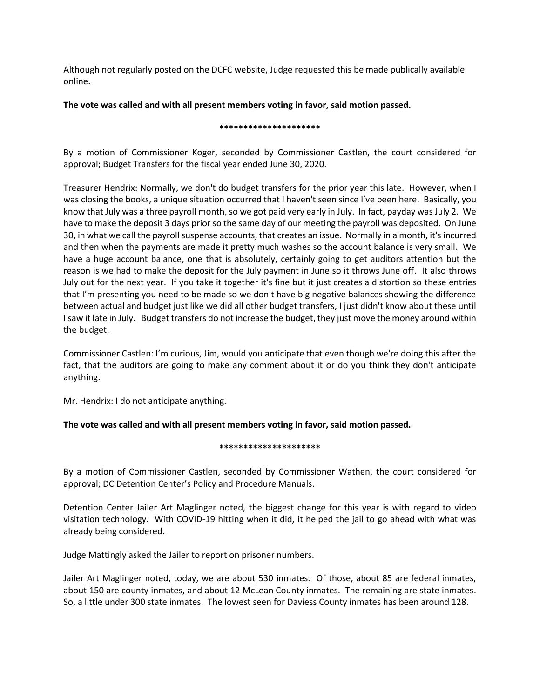Although not regularly posted on the DCFC website, Judge requested this be made publically available online.

## **The vote was called and with all present members voting in favor, said motion passed.**

### **\*\*\*\*\*\*\*\*\*\*\*\*\*\*\*\*\*\*\*\*\***

By a motion of Commissioner Koger, seconded by Commissioner Castlen, the court considered for approval; Budget Transfers for the fiscal year ended June 30, 2020.

Treasurer Hendrix: Normally, we don't do budget transfers for the prior year this late. However, when I was closing the books, a unique situation occurred that I haven't seen since I've been here. Basically, you know that July was a three payroll month, so we got paid very early in July. In fact, payday was July 2. We have to make the deposit 3 days prior so the same day of our meeting the payroll was deposited. On June 30, in what we call the payroll suspense accounts, that creates an issue. Normally in a month, it's incurred and then when the payments are made it pretty much washes so the account balance is very small. We have a huge account balance, one that is absolutely, certainly going to get auditors attention but the reason is we had to make the deposit for the July payment in June so it throws June off. It also throws July out for the next year. If you take it together it's fine but it just creates a distortion so these entries that I'm presenting you need to be made so we don't have big negative balances showing the difference between actual and budget just like we did all other budget transfers, I just didn't know about these until I saw it late in July. Budget transfers do not increase the budget, they just move the money around within the budget.

Commissioner Castlen: I'm curious, Jim, would you anticipate that even though we're doing this after the fact, that the auditors are going to make any comment about it or do you think they don't anticipate anything.

Mr. Hendrix: I do not anticipate anything.

## **The vote was called and with all present members voting in favor, said motion passed.**

## **\*\*\*\*\*\*\*\*\*\*\*\*\*\*\*\*\*\*\*\*\***

By a motion of Commissioner Castlen, seconded by Commissioner Wathen, the court considered for approval; DC Detention Center's Policy and Procedure Manuals.

Detention Center Jailer Art Maglinger noted, the biggest change for this year is with regard to video visitation technology. With COVID-19 hitting when it did, it helped the jail to go ahead with what was already being considered.

Judge Mattingly asked the Jailer to report on prisoner numbers.

Jailer Art Maglinger noted, today, we are about 530 inmates. Of those, about 85 are federal inmates, about 150 are county inmates, and about 12 McLean County inmates. The remaining are state inmates. So, a little under 300 state inmates. The lowest seen for Daviess County inmates has been around 128.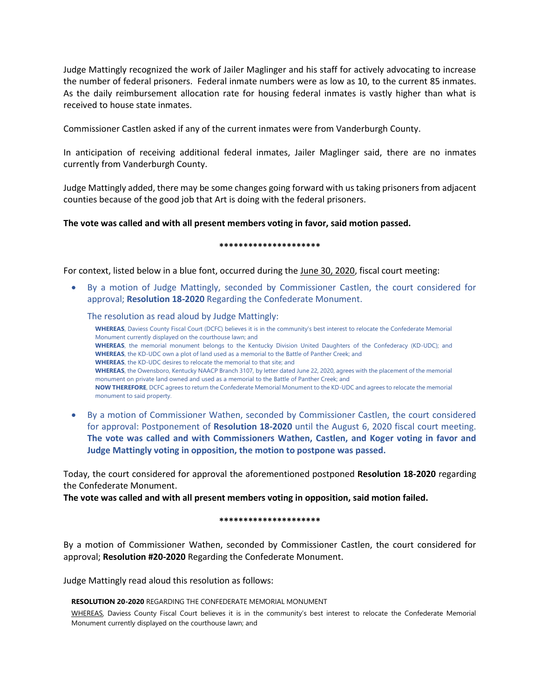Judge Mattingly recognized the work of Jailer Maglinger and his staff for actively advocating to increase the number of federal prisoners. Federal inmate numbers were as low as 10, to the current 85 inmates. As the daily reimbursement allocation rate for housing federal inmates is vastly higher than what is received to house state inmates.

Commissioner Castlen asked if any of the current inmates were from Vanderburgh County.

In anticipation of receiving additional federal inmates, Jailer Maglinger said, there are no inmates currently from Vanderburgh County.

Judge Mattingly added, there may be some changes going forward with us taking prisoners from adjacent counties because of the good job that Art is doing with the federal prisoners.

## **The vote was called and with all present members voting in favor, said motion passed.**

**\*\*\*\*\*\*\*\*\*\*\*\*\*\*\*\*\*\*\*\*\***

For context, listed below in a blue font, occurred during the June 30, 2020, fiscal court meeting:

• By a motion of Judge Mattingly, seconded by Commissioner Castlen, the court considered for approval; **Resolution 18-2020** Regarding the Confederate Monument.

The resolution as read aloud by Judge Mattingly:

**WHEREAS**, Daviess County Fiscal Court (DCFC) believes it is in the community's best interest to relocate the Confederate Memorial Monument currently displayed on the courthouse lawn; and **WHEREAS**, the memorial monument belongs to the Kentucky Division United Daughters of the Confederacy (KD-UDC); and **WHEREAS**, the KD-UDC own a plot of land used as a memorial to the Battle of Panther Creek; and **WHEREAS**, the KD-UDC desires to relocate the memorial to that site; and **WHEREAS**, the Owensboro, Kentucky NAACP Branch 3107, by letter dated June 22, 2020, agrees with the placement of the memorial monument on private land owned and used as a memorial to the Battle of Panther Creek; and **NOW THEREFORE**, DCFC agrees to return the Confederate Memorial Monument to the KD-UDC and agrees to relocate the memorial monument to said property.

• By a motion of Commissioner Wathen, seconded by Commissioner Castlen, the court considered for approval: Postponement of **Resolution 18-2020** until the August 6, 2020 fiscal court meeting. **The vote was called and with Commissioners Wathen, Castlen, and Koger voting in favor and Judge Mattingly voting in opposition, the motion to postpone was passed.**

Today, the court considered for approval the aforementioned postponed **Resolution 18-2020** regarding the Confederate Monument.

**The vote was called and with all present members voting in opposition, said motion failed.** 

**\*\*\*\*\*\*\*\*\*\*\*\*\*\*\*\*\*\*\*\*\***

By a motion of Commissioner Wathen, seconded by Commissioner Castlen, the court considered for approval; **Resolution #20-2020** Regarding the Confederate Monument.

Judge Mattingly read aloud this resolution as follows:

**RESOLUTION 20-2020** REGARDING THE CONFEDERATE MEMORIAL MONUMENT

WHEREAS, Daviess County Fiscal Court believes it is in the community's best interest to relocate the Confederate Memorial Monument currently displayed on the courthouse lawn; and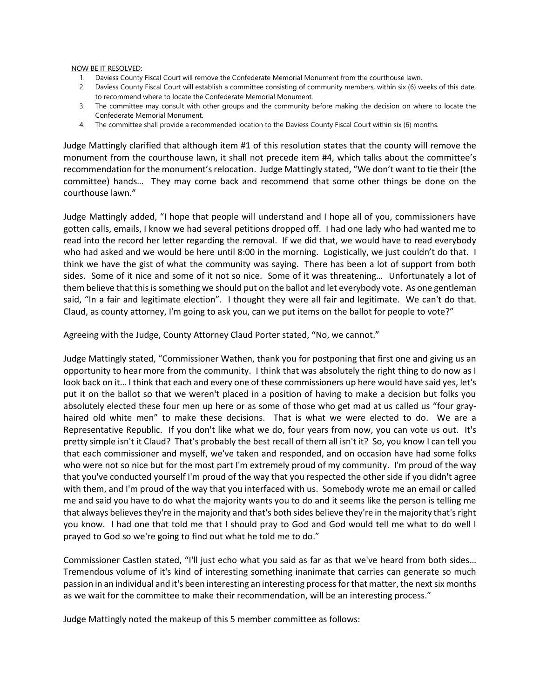### NOW BE IT RESOLVED:

- 1. Daviess County Fiscal Court will remove the Confederate Memorial Monument from the courthouse lawn.
- 2. Daviess County Fiscal Court will establish a committee consisting of community members, within six (6) weeks of this date, to recommend where to locate the Confederate Memorial Monument.
- 3. The committee may consult with other groups and the community before making the decision on where to locate the Confederate Memorial Monument.
- 4. The committee shall provide a recommended location to the Daviess County Fiscal Court within six (6) months.

Judge Mattingly clarified that although item #1 of this resolution states that the county will remove the monument from the courthouse lawn, it shall not precede item #4, which talks about the committee's recommendation for the monument's relocation. Judge Mattingly stated, "We don't want to tie their (the committee) hands… They may come back and recommend that some other things be done on the courthouse lawn."

Judge Mattingly added, "I hope that people will understand and I hope all of you, commissioners have gotten calls, emails, I know we had several petitions dropped off. I had one lady who had wanted me to read into the record her letter regarding the removal. If we did that, we would have to read everybody who had asked and we would be here until 8:00 in the morning. Logistically, we just couldn't do that. I think we have the gist of what the community was saying. There has been a lot of support from both sides. Some of it nice and some of it not so nice. Some of it was threatening… Unfortunately a lot of them believe that this is something we should put on the ballot and let everybody vote. As one gentleman said, "In a fair and legitimate election". I thought they were all fair and legitimate. We can't do that. Claud, as county attorney, I'm going to ask you, can we put items on the ballot for people to vote?"

Agreeing with the Judge, County Attorney Claud Porter stated, "No, we cannot."

Judge Mattingly stated, "Commissioner Wathen, thank you for postponing that first one and giving us an opportunity to hear more from the community. I think that was absolutely the right thing to do now as I look back on it... I think that each and every one of these commissioners up here would have said yes, let's put it on the ballot so that we weren't placed in a position of having to make a decision but folks you absolutely elected these four men up here or as some of those who get mad at us called us "four grayhaired old white men" to make these decisions. That is what we were elected to do. We are a Representative Republic. If you don't like what we do, four years from now, you can vote us out. It's pretty simple isn't it Claud? That's probably the best recall of them all isn't it? So, you know I can tell you that each commissioner and myself, we've taken and responded, and on occasion have had some folks who were not so nice but for the most part I'm extremely proud of my community. I'm proud of the way that you've conducted yourself I'm proud of the way that you respected the other side if you didn't agree with them, and I'm proud of the way that you interfaced with us. Somebody wrote me an email or called me and said you have to do what the majority wants you to do and it seems like the person is telling me that always believes they're in the majority and that's both sides believe they're in the majority that's right you know. I had one that told me that I should pray to God and God would tell me what to do well I prayed to God so we're going to find out what he told me to do."

Commissioner Castlen stated, "I'll just echo what you said as far as that we've heard from both sides… Tremendous volume of it's kind of interesting something inanimate that carries can generate so much passion in an individual and it's been interesting an interesting process for that matter, the next six months as we wait for the committee to make their recommendation, will be an interesting process."

Judge Mattingly noted the makeup of this 5 member committee as follows: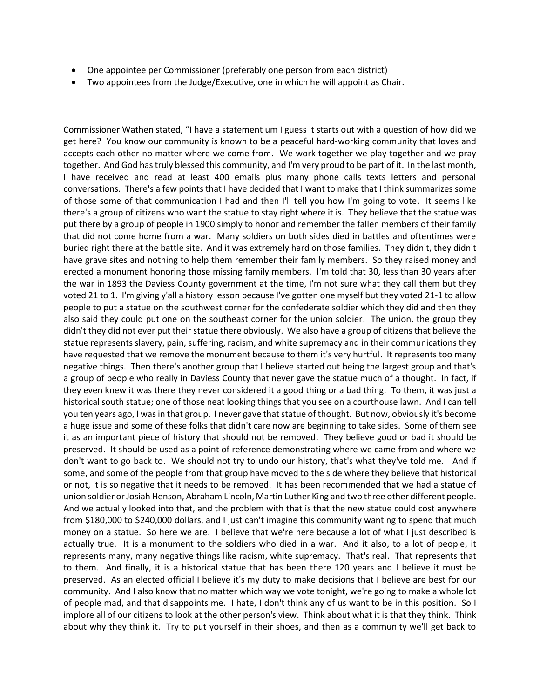- One appointee per Commissioner (preferably one person from each district)
- Two appointees from the Judge/Executive, one in which he will appoint as Chair.

Commissioner Wathen stated, "I have a statement um I guess it starts out with a question of how did we get here? You know our community is known to be a peaceful hard-working community that loves and accepts each other no matter where we come from. We work together we play together and we pray together. And God has truly blessed this community, and I'm very proud to be part of it. In the last month, I have received and read at least 400 emails plus many phone calls texts letters and personal conversations. There's a few points that I have decided that I want to make that I think summarizes some of those some of that communication I had and then I'll tell you how I'm going to vote. It seems like there's a group of citizens who want the statue to stay right where it is. They believe that the statue was put there by a group of people in 1900 simply to honor and remember the fallen members of their family that did not come home from a war. Many soldiers on both sides died in battles and oftentimes were buried right there at the battle site. And it was extremely hard on those families. They didn't, they didn't have grave sites and nothing to help them remember their family members. So they raised money and erected a monument honoring those missing family members. I'm told that 30, less than 30 years after the war in 1893 the Daviess County government at the time, I'm not sure what they call them but they voted 21 to 1. I'm giving y'all a history lesson because I've gotten one myself but they voted 21-1 to allow people to put a statue on the southwest corner for the confederate soldier which they did and then they also said they could put one on the southeast corner for the union soldier. The union, the group they didn't they did not ever put their statue there obviously. We also have a group of citizens that believe the statue represents slavery, pain, suffering, racism, and white supremacy and in their communications they have requested that we remove the monument because to them it's very hurtful. It represents too many negative things. Then there's another group that I believe started out being the largest group and that's a group of people who really in Daviess County that never gave the statue much of a thought. In fact, if they even knew it was there they never considered it a good thing or a bad thing. To them, it was just a historical south statue; one of those neat looking things that you see on a courthouse lawn. And I can tell you ten years ago, I was in that group. I never gave that statue of thought. But now, obviously it's become a huge issue and some of these folks that didn't care now are beginning to take sides. Some of them see it as an important piece of history that should not be removed. They believe good or bad it should be preserved. It should be used as a point of reference demonstrating where we came from and where we don't want to go back to. We should not try to undo our history, that's what they've told me. And if some, and some of the people from that group have moved to the side where they believe that historical or not, it is so negative that it needs to be removed. It has been recommended that we had a statue of union soldier or Josiah Henson, Abraham Lincoln, Martin Luther King and two three other different people. And we actually looked into that, and the problem with that is that the new statue could cost anywhere from \$180,000 to \$240,000 dollars, and I just can't imagine this community wanting to spend that much money on a statue. So here we are. I believe that we're here because a lot of what I just described is actually true. It is a monument to the soldiers who died in a war. And it also, to a lot of people, it represents many, many negative things like racism, white supremacy. That's real. That represents that to them. And finally, it is a historical statue that has been there 120 years and I believe it must be preserved. As an elected official I believe it's my duty to make decisions that I believe are best for our community. And I also know that no matter which way we vote tonight, we're going to make a whole lot of people mad, and that disappoints me. I hate, I don't think any of us want to be in this position. So I implore all of our citizens to look at the other person's view. Think about what it is that they think. Think about why they think it. Try to put yourself in their shoes, and then as a community we'll get back to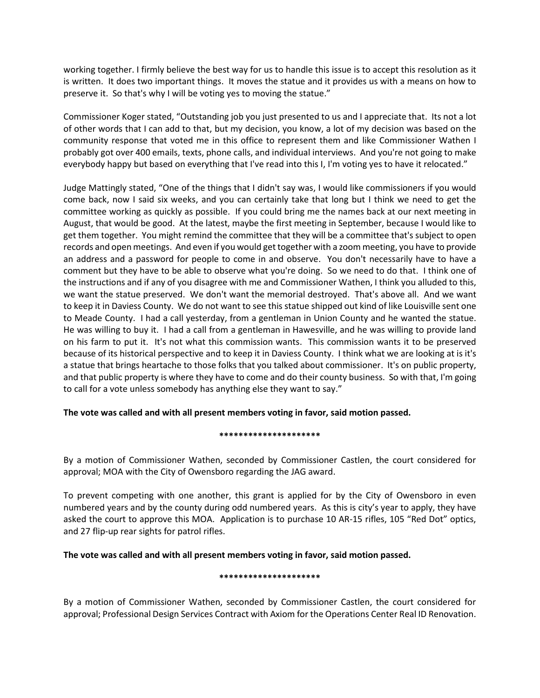working together. I firmly believe the best way for us to handle this issue is to accept this resolution as it is written. It does two important things. It moves the statue and it provides us with a means on how to preserve it. So that's why I will be voting yes to moving the statue."

Commissioner Koger stated, "Outstanding job you just presented to us and I appreciate that. Its not a lot of other words that I can add to that, but my decision, you know, a lot of my decision was based on the community response that voted me in this office to represent them and like Commissioner Wathen I probably got over 400 emails, texts, phone calls, and individual interviews. And you're not going to make everybody happy but based on everything that I've read into this I, I'm voting yes to have it relocated."

Judge Mattingly stated, "One of the things that I didn't say was, I would like commissioners if you would come back, now I said six weeks, and you can certainly take that long but I think we need to get the committee working as quickly as possible. If you could bring me the names back at our next meeting in August, that would be good. At the latest, maybe the first meeting in September, because I would like to get them together. You might remind the committee that they will be a committee that's subject to open records and open meetings. And even if you would get together with a zoom meeting, you have to provide an address and a password for people to come in and observe. You don't necessarily have to have a comment but they have to be able to observe what you're doing. So we need to do that. I think one of the instructions and if any of you disagree with me and Commissioner Wathen, I think you alluded to this, we want the statue preserved. We don't want the memorial destroyed. That's above all. And we want to keep it in Daviess County. We do not want to see this statue shipped out kind of like Louisville sent one to Meade County. I had a call yesterday, from a gentleman in Union County and he wanted the statue. He was willing to buy it. I had a call from a gentleman in Hawesville, and he was willing to provide land on his farm to put it. It's not what this commission wants. This commission wants it to be preserved because of its historical perspective and to keep it in Daviess County. I think what we are looking at is it's a statue that brings heartache to those folks that you talked about commissioner. It's on public property, and that public property is where they have to come and do their county business. So with that, I'm going to call for a vote unless somebody has anything else they want to say."

## **The vote was called and with all present members voting in favor, said motion passed.**

## **\*\*\*\*\*\*\*\*\*\*\*\*\*\*\*\*\*\*\*\*\***

By a motion of Commissioner Wathen, seconded by Commissioner Castlen, the court considered for approval; MOA with the City of Owensboro regarding the JAG award.

To prevent competing with one another, this grant is applied for by the City of Owensboro in even numbered years and by the county during odd numbered years. As this is city's year to apply, they have asked the court to approve this MOA. Application is to purchase 10 AR-15 rifles, 105 "Red Dot" optics, and 27 flip-up rear sights for patrol rifles.

## **The vote was called and with all present members voting in favor, said motion passed.**

### **\*\*\*\*\*\*\*\*\*\*\*\*\*\*\*\*\*\*\*\*\***

By a motion of Commissioner Wathen, seconded by Commissioner Castlen, the court considered for approval; Professional Design Services Contract with Axiom for the Operations Center Real ID Renovation.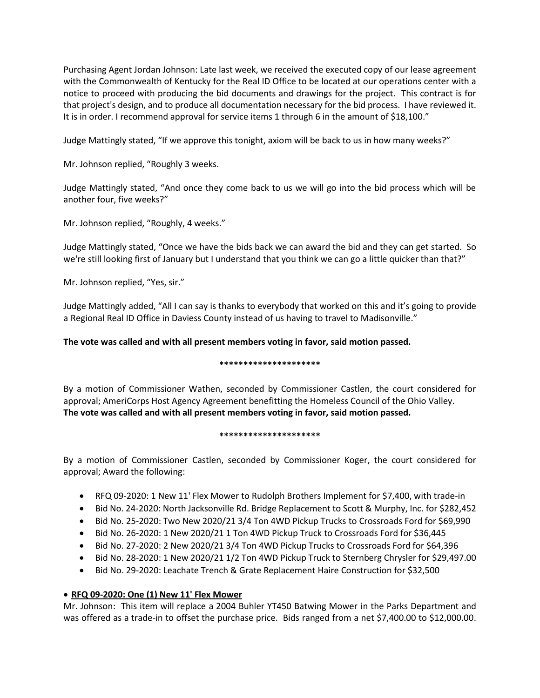Purchasing Agent Jordan Johnson: Late last week, we received the executed copy of our lease agreement with the Commonwealth of Kentucky for the Real ID Office to be located at our operations center with a notice to proceed with producing the bid documents and drawings for the project. This contract is for that project's design, and to produce all documentation necessary for the bid process. I have reviewed it. It is in order. I recommend approval for service items 1 through 6 in the amount of \$18,100."

Judge Mattingly stated, "If we approve this tonight, axiom will be back to us in how many weeks?"

Mr. Johnson replied, "Roughly 3 weeks.

Judge Mattingly stated, "And once they come back to us we will go into the bid process which will be another four, five weeks?"

Mr. Johnson replied, "Roughly, 4 weeks."

Judge Mattingly stated, "Once we have the bids back we can award the bid and they can get started. So we're still looking first of January but I understand that you think we can go a little quicker than that?"

Mr. Johnson replied, "Yes, sir."

Judge Mattingly added, "All I can say is thanks to everybody that worked on this and it's going to provide a Regional Real ID Office in Daviess County instead of us having to travel to Madisonville."

## **The vote was called and with all present members voting in favor, said motion passed.**

## **\*\*\*\*\*\*\*\*\*\*\*\*\*\*\*\*\*\*\*\*\***

By a motion of Commissioner Wathen, seconded by Commissioner Castlen, the court considered for approval; AmeriCorps Host Agency Agreement benefitting the Homeless Council of the Ohio Valley. **The vote was called and with all present members voting in favor, said motion passed.** 

## **\*\*\*\*\*\*\*\*\*\*\*\*\*\*\*\*\*\*\*\*\***

By a motion of Commissioner Castlen, seconded by Commissioner Koger, the court considered for approval; Award the following:

- RFQ 09-2020: 1 New 11' Flex Mower to Rudolph Brothers Implement for \$7,400, with trade-in
- Bid No. 24-2020: North Jacksonville Rd. Bridge Replacement to Scott & Murphy, Inc. for \$282,452
- Bid No. 25-2020: Two New 2020/21 3/4 Ton 4WD Pickup Trucks to Crossroads Ford for \$69,990
- Bid No. 26-2020: 1 New 2020/21 1 Ton 4WD Pickup Truck to Crossroads Ford for \$36,445
- Bid No. 27-2020: 2 New 2020/21 3/4 Ton 4WD Pickup Trucks to Crossroads Ford for \$64,396
- Bid No. 28-2020: 1 New 2020/21 1/2 Ton 4WD Pickup Truck to Sternberg Chrysler for \$29,497.00
- Bid No. 29-2020: Leachate Trench & Grate Replacement Haire Construction for \$32,500

## • **RFQ 09-2020: One (1) New 11' Flex Mower**

Mr. Johnson: This item will replace a 2004 Buhler YT450 Batwing Mower in the Parks Department and was offered as a trade-in to offset the purchase price. Bids ranged from a net \$7,400.00 to \$12,000.00.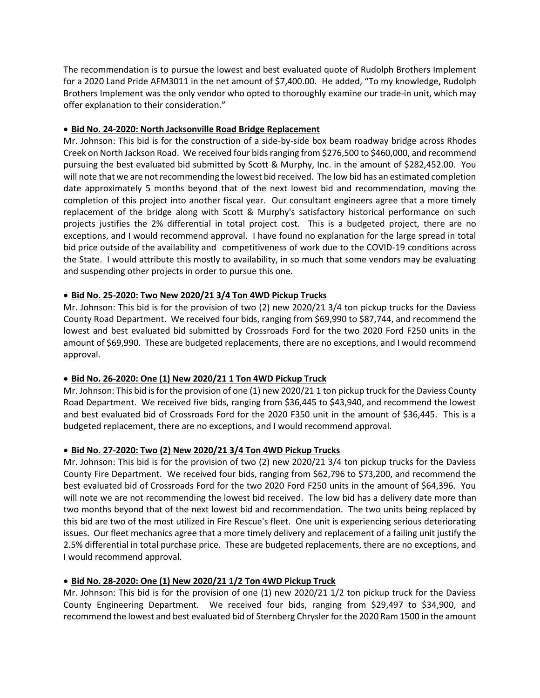The recommendation is to pursue the lowest and best evaluated quote of Rudolph Brothers Implement for a 2020 Land Pride AFM3011 in the net amount of \$7,400.00. He added, "To my knowledge, Rudolph Brothers Implement was the only vendor who opted to thoroughly examine our trade-in unit, which may offer explanation to their consideration."

# • **Bid No. 24-2020: North Jacksonville Road Bridge Replacement**

Mr. Johnson: This bid is for the construction of a side-by-side box beam roadway bridge across Rhodes Creek on North Jackson Road. We received four bids ranging from \$276,500 to \$460,000, and recommend pursuing the best evaluated bid submitted by Scott & Murphy, Inc. in the amount of \$282,452.00. You will note that we are not recommending the lowest bid received. The low bid has an estimated completion date approximately 5 months beyond that of the next lowest bid and recommendation, moving the completion of this project into another fiscal year. Our consultant engineers agree that a more timely replacement of the bridge along with Scott & Murphy's satisfactory historical performance on such projects justifies the 2% differential in total project cost. This is a budgeted project, there are no exceptions, and I would recommend approval. I have found no explanation for the large spread in total bid price outside of the availability and competitiveness of work due to the COVID-19 conditions across the State. I would attribute this mostly to availability, in so much that some vendors may be evaluating and suspending other projects in order to pursue this one.

# • **Bid No. 25-2020: Two New 2020/21 3/4 Ton 4WD Pickup Trucks**

Mr. Johnson: This bid is for the provision of two (2) new 2020/21 3/4 ton pickup trucks for the Daviess County Road Department. We received four bids, ranging from \$69,990 to \$87,744, and recommend the lowest and best evaluated bid submitted by Crossroads Ford for the two 2020 Ford F250 units in the amount of \$69,990. These are budgeted replacements, there are no exceptions, and I would recommend approval.

## • **Bid No. 26-2020: One (1) New 2020/21 1 Ton 4WD Pickup Truck**

Mr. Johnson: This bid is for the provision of one (1) new 2020/21 1 ton pickup truck for the Daviess County Road Department. We received five bids, ranging from \$36,445 to \$43,940, and recommend the lowest and best evaluated bid of Crossroads Ford for the 2020 F350 unit in the amount of \$36,445. This is a budgeted replacement, there are no exceptions, and I would recommend approval.

# • **Bid No. 27-2020: Two (2) New 2020/21 3/4 Ton 4WD Pickup Trucks**

Mr. Johnson: This bid is for the provision of two (2) new 2020/21 3/4 ton pickup trucks for the Daviess County Fire Department. We received four bids, ranging from \$62,796 to \$73,200, and recommend the best evaluated bid of Crossroads Ford for the two 2020 Ford F250 units in the amount of \$64,396. You will note we are not recommending the lowest bid received. The low bid has a delivery date more than two months beyond that of the next lowest bid and recommendation. The two units being replaced by this bid are two of the most utilized in Fire Rescue's fleet. One unit is experiencing serious deteriorating issues. Our fleet mechanics agree that a more timely delivery and replacement of a failing unit justify the 2.5% differential in total purchase price. These are budgeted replacements, there are no exceptions, and I would recommend approval.

# • **Bid No. 28-2020: One (1) New 2020/21 1/2 Ton 4WD Pickup Truck**

Mr. Johnson: This bid is for the provision of one (1) new 2020/21 1/2 ton pickup truck for the Daviess County Engineering Department. We received four bids, ranging from \$29,497 to \$34,900, and recommend the lowest and best evaluated bid of Sternberg Chrysler for the 2020 Ram 1500 in the amount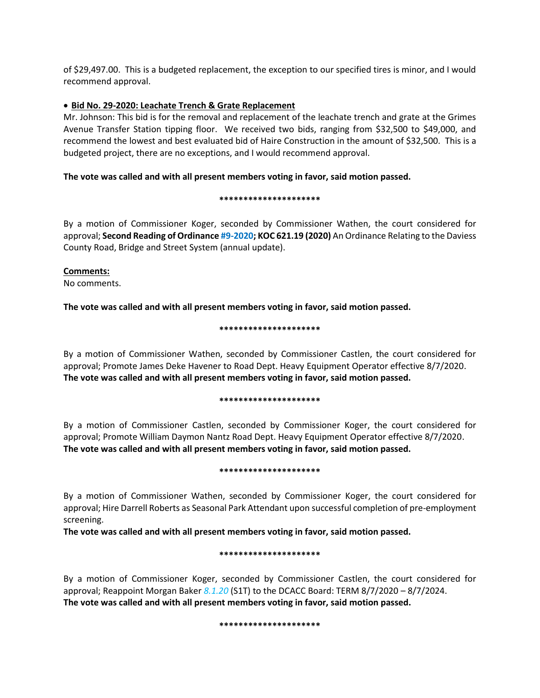of \$29,497.00. This is a budgeted replacement, the exception to our specified tires is minor, and I would recommend approval.

## • **Bid No. 29-2020: Leachate Trench & Grate Replacement**

Mr. Johnson: This bid is for the removal and replacement of the leachate trench and grate at the Grimes Avenue Transfer Station tipping floor. We received two bids, ranging from \$32,500 to \$49,000, and recommend the lowest and best evaluated bid of Haire Construction in the amount of \$32,500. This is a budgeted project, there are no exceptions, and I would recommend approval.

## **The vote was called and with all present members voting in favor, said motion passed.**

### **\*\*\*\*\*\*\*\*\*\*\*\*\*\*\*\*\*\*\*\*\***

By a motion of Commissioner Koger, seconded by Commissioner Wathen, the court considered for approval; **Second Reading of Ordinance #9-2020; KOC 621.19 (2020)** An Ordinance Relating to the Daviess County Road, Bridge and Street System (annual update).

## **Comments:**

No comments.

**The vote was called and with all present members voting in favor, said motion passed.** 

### **\*\*\*\*\*\*\*\*\*\*\*\*\*\*\*\*\*\*\*\*\***

By a motion of Commissioner Wathen, seconded by Commissioner Castlen, the court considered for approval; Promote James Deke Havener to Road Dept. Heavy Equipment Operator effective 8/7/2020. **The vote was called and with all present members voting in favor, said motion passed.** 

### **\*\*\*\*\*\*\*\*\*\*\*\*\*\*\*\*\*\*\*\*\***

By a motion of Commissioner Castlen, seconded by Commissioner Koger, the court considered for approval; Promote William Daymon Nantz Road Dept. Heavy Equipment Operator effective 8/7/2020. **The vote was called and with all present members voting in favor, said motion passed.** 

## **\*\*\*\*\*\*\*\*\*\*\*\*\*\*\*\*\*\*\*\*\***

By a motion of Commissioner Wathen, seconded by Commissioner Koger, the court considered for approval; Hire Darrell Roberts as Seasonal Park Attendant upon successful completion of pre-employment screening.

**The vote was called and with all present members voting in favor, said motion passed.** 

## **\*\*\*\*\*\*\*\*\*\*\*\*\*\*\*\*\*\*\*\*\***

By a motion of Commissioner Koger, seconded by Commissioner Castlen, the court considered for approval; Reappoint Morgan Baker *8.1.20* (S1T) to the DCACC Board: TERM 8/7/2020 – 8/7/2024. **The vote was called and with all present members voting in favor, said motion passed.** 

## **\*\*\*\*\*\*\*\*\*\*\*\*\*\*\*\*\*\*\*\*\***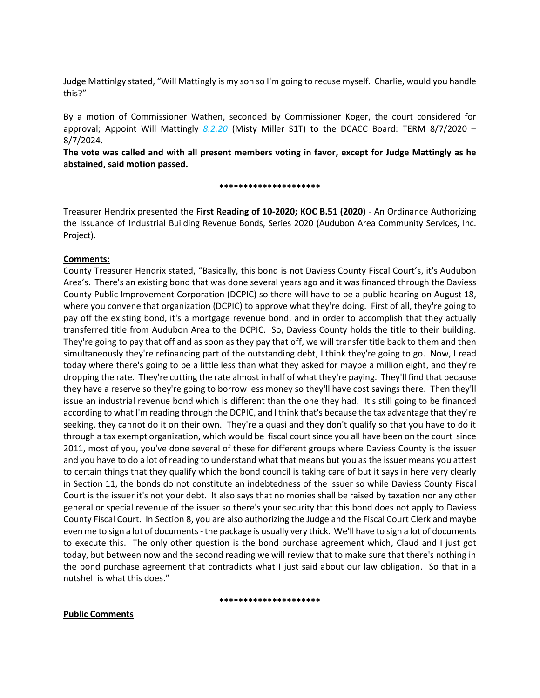Judge Mattinlgy stated, "Will Mattingly is my son so I'm going to recuse myself. Charlie, would you handle this?"

By a motion of Commissioner Wathen, seconded by Commissioner Koger, the court considered for approval; Appoint Will Mattingly *8.2.20* (Misty Miller S1T) to the DCACC Board: TERM 8/7/2020 – 8/7/2024.

**The vote was called and with all present members voting in favor, except for Judge Mattingly as he abstained, said motion passed.** 

**\*\*\*\*\*\*\*\*\*\*\*\*\*\*\*\*\*\*\*\*\***

Treasurer Hendrix presented the **First Reading of 10-2020; KOC B.51 (2020)** - An Ordinance Authorizing the Issuance of Industrial Building Revenue Bonds, Series 2020 (Audubon Area Community Services, Inc. Project).

## **Comments:**

County Treasurer Hendrix stated, "Basically, this bond is not Daviess County Fiscal Court's, it's Audubon Area's. There's an existing bond that was done several years ago and it was financed through the Daviess County Public Improvement Corporation (DCPIC) so there will have to be a public hearing on August 18, where you convene that organization (DCPIC) to approve what they're doing. First of all, they're going to pay off the existing bond, it's a mortgage revenue bond, and in order to accomplish that they actually transferred title from Audubon Area to the DCPIC. So, Daviess County holds the title to their building. They're going to pay that off and as soon as they pay that off, we will transfer title back to them and then simultaneously they're refinancing part of the outstanding debt, I think they're going to go. Now, I read today where there's going to be a little less than what they asked for maybe a million eight, and they're dropping the rate. They're cutting the rate almost in half of what they're paying. They'll find that because they have a reserve so they're going to borrow less money so they'll have cost savings there. Then they'll issue an industrial revenue bond which is different than the one they had. It's still going to be financed according to what I'm reading through the DCPIC, and I think that's because the tax advantage that they're seeking, they cannot do it on their own. They're a quasi and they don't qualify so that you have to do it through a tax exempt organization, which would be fiscal court since you all have been on the court since 2011, most of you, you've done several of these for different groups where Daviess County is the issuer and you have to do a lot of reading to understand what that means but you as the issuer means you attest to certain things that they qualify which the bond council is taking care of but it says in here very clearly in Section 11, the bonds do not constitute an indebtedness of the issuer so while Daviess County Fiscal Court is the issuer it's not your debt. It also says that no monies shall be raised by taxation nor any other general or special revenue of the issuer so there's your security that this bond does not apply to Daviess County Fiscal Court. In Section 8, you are also authorizing the Judge and the Fiscal Court Clerk and maybe even me to sign a lot of documents - the package is usually very thick. We'll have to sign a lot of documents to execute this. The only other question is the bond purchase agreement which, Claud and I just got today, but between now and the second reading we will review that to make sure that there's nothing in the bond purchase agreement that contradicts what I just said about our law obligation. So that in a nutshell is what this does."

#### **\*\*\*\*\*\*\*\*\*\*\*\*\*\*\*\*\*\*\*\*\***

## **Public Comments**